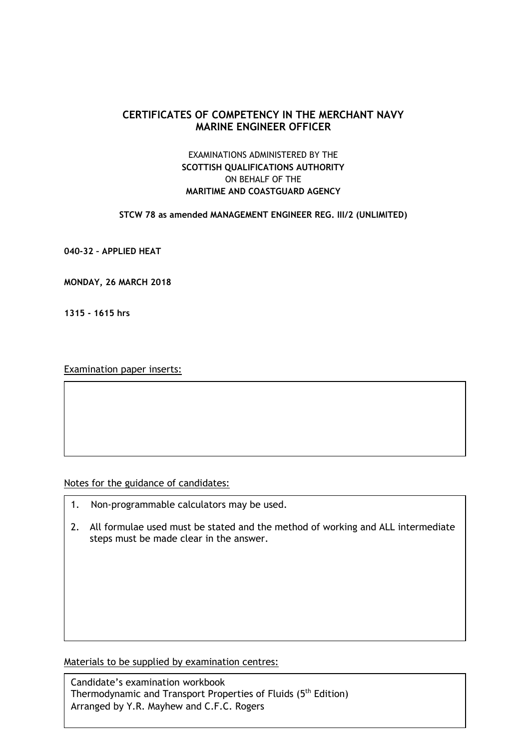# **CERTIFICATES OF COMPETENCY IN THE MERCHANT NAVY MARINE ENGINEER OFFICER**

# EXAMINATIONS ADMINISTERED BY THE **SCOTTISH QUALIFICATIONS AUTHORITY** ON BEHALF OF THE **MARITIME AND COASTGUARD AGENCY**

### **STCW 78 as amended MANAGEMENT ENGINEER REG. III/2 (UNLIMITED)**

**040-32 – APPLIED HEAT**

**MONDAY, 26 MARCH 2018**

**1315 - 1615 hrs**

Examination paper inserts:

Notes for the guidance of candidates:

- 1. Non-programmable calculators may be used.
- 2. All formulae used must be stated and the method of working and ALL intermediate steps must be made clear in the answer.

Materials to be supplied by examination centres:

Candidate's examination workbook Thermodynamic and Transport Properties of Fluids (5<sup>th</sup> Edition) Arranged by Y.R. Mayhew and C.F.C. Rogers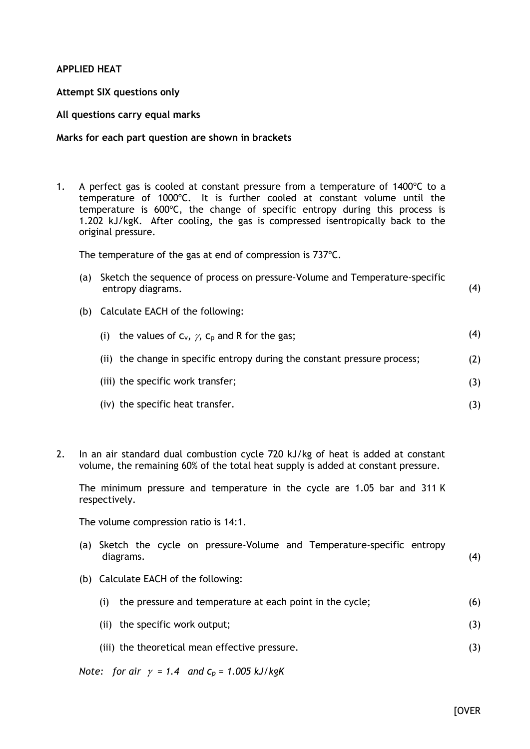## **APPLIED HEAT**

## **Attempt SIX questions only**

## **All questions carry equal marks**

### **Marks for each part question are shown in brackets**

1. A perfect gas is cooled at constant pressure from a temperature of 1400ºC to a temperature of 1000ºC. It is further cooled at constant volume until the temperature is 600ºC, the change of specific entropy during this process is 1.202 kJ/kgK. After cooling, the gas is compressed isentropically back to the original pressure.

The temperature of the gas at end of compression is 737ºC.

- (a) Sketch the sequence of process on pressure-Volume and Temperature-specific entropy diagrams. (4)
- (b) Calculate EACH of the following:

| the values of $C_v$ , $\gamma$ , $C_p$ and R for the gas;<br>(i)          | (4) |
|---------------------------------------------------------------------------|-----|
| (ii) the change in specific entropy during the constant pressure process; | (2) |
| (iii) the specific work transfer;                                         | (3) |
| (iv) the specific heat transfer.                                          |     |

2. In an air standard dual combustion cycle 720 kJ/kg of heat is added at constant volume, the remaining 60% of the total heat supply is added at constant pressure.

The minimum pressure and temperature in the cycle are 1.05 bar and 311 K respectively.

The volume compression ratio is 14:1.

- (a) Sketch the cycle on pressure-Volume and Temperature-specific entropy diagrams. (4)
- (b) Calculate EACH of the following:

|  | (i) the pressure and temperature at each point in the cycle; | (6) |
|--|--------------------------------------------------------------|-----|
|--|--------------------------------------------------------------|-----|

- (ii) the specific work output; (3)
- (iii) the theoretical mean effective pressure. (3)

*Note:* for air  $\gamma = 1.4$  and  $c_p = 1.005$  kJ/kgK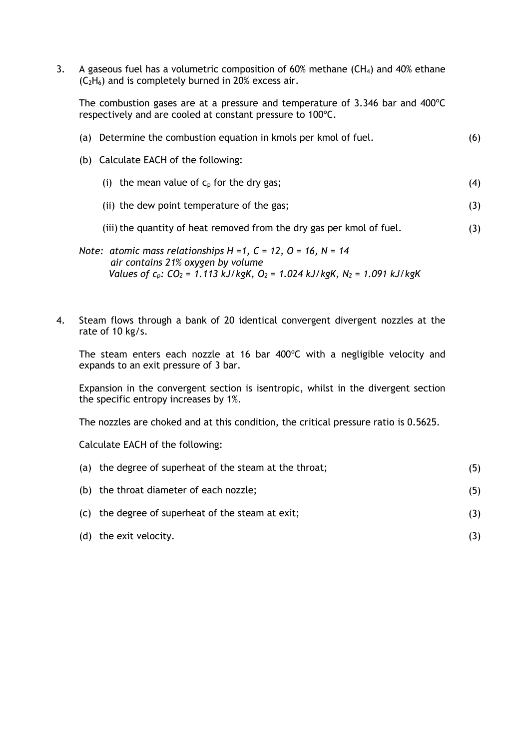3. A gaseous fuel has a volumetric composition of 60% methane  $(CH_4)$  and 40% ethane  $(C_2H_6)$  and is completely burned in 20% excess air.

The combustion gases are at a pressure and temperature of 3.346 bar and 400ºC respectively and are cooled at constant pressure to 100ºC.

| Determine the combustion equation in kmols per kmol of fuel.<br>(a)                                                                                                                                                             | (6) |
|---------------------------------------------------------------------------------------------------------------------------------------------------------------------------------------------------------------------------------|-----|
| (b) Calculate EACH of the following:                                                                                                                                                                                            |     |
| the mean value of $c_p$ for the dry gas;<br>(i)                                                                                                                                                                                 | (4) |
| (ii) the dew point temperature of the gas;                                                                                                                                                                                      | (3) |
| (iii) the quantity of heat removed from the dry gas per kmol of fuel.                                                                                                                                                           | (3) |
| Note: atomic mass relationships $H = 1$ , $C = 12$ , $O = 16$ , $N = 14$<br>air contains 21% oxygen by volume<br>Values of $c_p$ : CO <sub>2</sub> = 1.113 kJ/kgK, O <sub>2</sub> = 1.024 kJ/kgK, N <sub>2</sub> = 1.091 kJ/kgK |     |

4. Steam flows through a bank of 20 identical convergent divergent nozzles at the rate of 10 kg/s.

The steam enters each nozzle at 16 bar 400ºC with a negligible velocity and expands to an exit pressure of 3 bar.

Expansion in the convergent section is isentropic, whilst in the divergent section the specific entropy increases by 1%.

The nozzles are choked and at this condition, the critical pressure ratio is 0.5625.

Calculate EACH of the following:

| (a) the degree of superheat of the steam at the throat; | (5) |
|---------------------------------------------------------|-----|
| (b) the throat diameter of each nozzle;                 | (5) |
| (c) the degree of superheat of the steam at exit;       |     |
| (d) the exit velocity.                                  |     |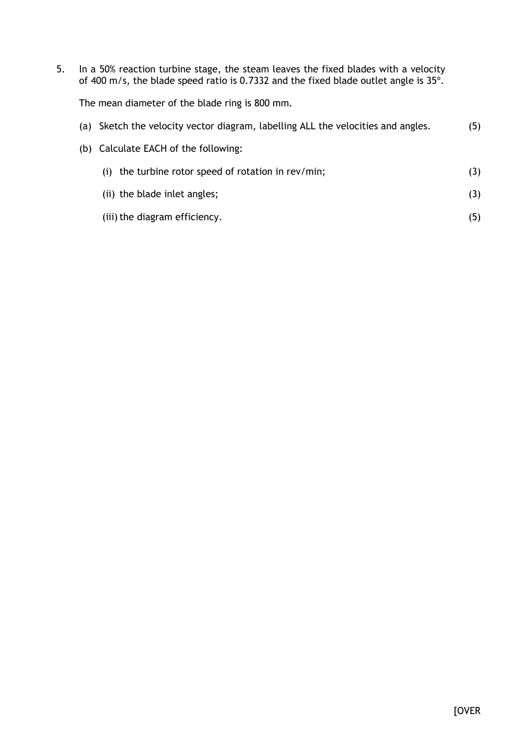5. In a 50% reaction turbine stage, the steam leaves the fixed blades with a velocity of 400 m/s, the blade speed ratio is 0.7332 and the fixed blade outlet angle is 35º.

The mean diameter of the blade ring is 800 mm.

| (a) Sketch the velocity vector diagram, labelling ALL the velocities and angles. | (5) |
|----------------------------------------------------------------------------------|-----|
| (b) Calculate EACH of the following:                                             |     |
| (i) the turbine rotor speed of rotation in $rev/min$ ;                           | (3) |
| (ii) the blade inlet angles;                                                     | (3) |
| (iii) the diagram efficiency.                                                    | (5) |
|                                                                                  |     |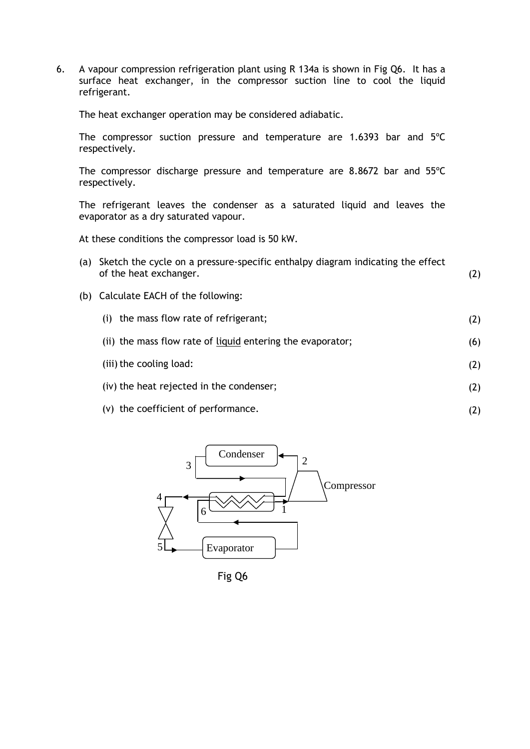6. A vapour compression refrigeration plant using R 134a is shown in Fig Q6. It has a surface heat exchanger, in the compressor suction line to cool the liquid refrigerant.

The heat exchanger operation may be considered adiabatic.

The compressor suction pressure and temperature are 1.6393 bar and 5ºC respectively.

The compressor discharge pressure and temperature are 8.8672 bar and 55ºC respectively.

The refrigerant leaves the condenser as a saturated liquid and leaves the evaporator as a dry saturated vapour.

At these conditions the compressor load is 50 kW.

- (a) Sketch the cycle on a pressure-specific enthalpy diagram indicating the effect of the heat exchanger. (2)
- (b) Calculate EACH of the following:

| (i) the mass flow rate of refrigerant;                     |     |
|------------------------------------------------------------|-----|
| (ii) the mass flow rate of liquid entering the evaporator; | (6) |
| (iii) the cooling load:                                    | (2) |
| (iv) the heat rejected in the condenser;                   | (2) |
|                                                            |     |

(2)

(v) the coefficient of performance.



Fig Q6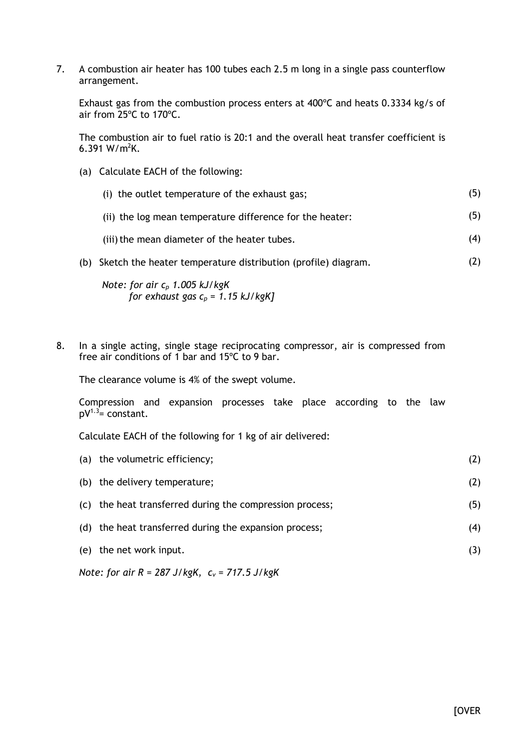7. A combustion air heater has 100 tubes each 2.5 m long in a single pass counterflow arrangement.

Exhaust gas from the combustion process enters at 400ºC and heats 0.3334 kg/s of air from 25ºC to 170ºC.

The combustion air to fuel ratio is 20:1 and the overall heat transfer coefficient is 6.391 W/ $m^2K$ .

(a) Calculate EACH of the following:

| (i) the outlet temperature of the exhaust gas;                    | (5) |
|-------------------------------------------------------------------|-----|
| (ii) the log mean temperature difference for the heater:          | (5) |
| (iii) the mean diameter of the heater tubes.                      | (4) |
| (b) Sketch the heater temperature distribution (profile) diagram. | (2) |

*Note: for air c<sup>p</sup> 1.005 kJ/kgK for exhaust gas c<sup>p</sup> = 1.15 kJ/kgK]*

8. In a single acting, single stage reciprocating compressor, air is compressed from free air conditions of 1 bar and 15ºC to 9 bar.

The clearance volume is 4% of the swept volume.

Compression and expansion processes take place according to the law  $pV^{1.3}$ = constant.

Calculate EACH of the following for 1 kg of air delivered:

| (a) the volumetric efficiency;                           | (2) |  |
|----------------------------------------------------------|-----|--|
| (b) the delivery temperature;                            | (2) |  |
| (c) the heat transferred during the compression process; | (5) |  |
| (d) the heat transferred during the expansion process;   | (4) |  |
| (e) the net work input.                                  | (3) |  |
| Note: for air $R = 287$ J/kgK, $c_v = 717.5$ J/kgK       |     |  |